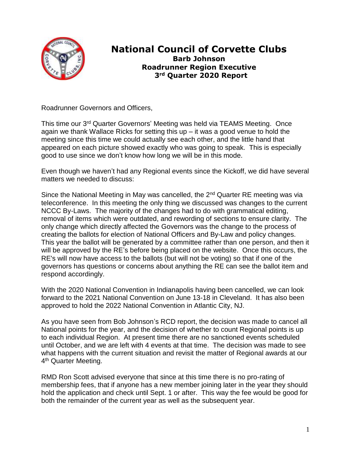

## **National Council of Corvette Clubs Barb Johnson Roadrunner Region Executive 3rd Quarter 2020 Report**

Roadrunner Governors and Officers,

This time our 3rd Quarter Governors' Meeting was held via TEAMS Meeting. Once again we thank Wallace Ricks for setting this up  $-$  it was a good venue to hold the meeting since this time we could actually see each other, and the little hand that appeared on each picture showed exactly who was going to speak. This is especially good to use since we don't know how long we will be in this mode.

Even though we haven't had any Regional events since the Kickoff, we did have several matters we needed to discuss:

Since the National Meeting in May was cancelled, the  $2<sup>nd</sup>$  Quarter RE meeting was via teleconference. In this meeting the only thing we discussed was changes to the current NCCC By-Laws. The majority of the changes had to do with grammatical editing, removal of items which were outdated, and rewording of sections to ensure clarity. The only change which directly affected the Governors was the change to the process of creating the ballots for election of National Officers and By-Law and policy changes. This year the ballot will be generated by a committee rather than one person, and then it will be approved by the RE's before being placed on the website. Once this occurs, the RE's will now have access to the ballots (but will not be voting) so that if one of the governors has questions or concerns about anything the RE can see the ballot item and respond accordingly.

With the 2020 National Convention in Indianapolis having been cancelled, we can look forward to the 2021 National Convention on June 13-18 in Cleveland. It has also been approved to hold the 2022 National Convention in Atlantic City, NJ.

As you have seen from Bob Johnson's RCD report, the decision was made to cancel all National points for the year, and the decision of whether to count Regional points is up to each individual Region. At present time there are no sanctioned events scheduled until October, and we are left with 4 events at that time. The decision was made to see what happens with the current situation and revisit the matter of Regional awards at our 4<sup>th</sup> Quarter Meeting.

RMD Ron Scott advised everyone that since at this time there is no pro-rating of membership fees, that if anyone has a new member joining later in the year they should hold the application and check until Sept. 1 or after. This way the fee would be good for both the remainder of the current year as well as the subsequent year.